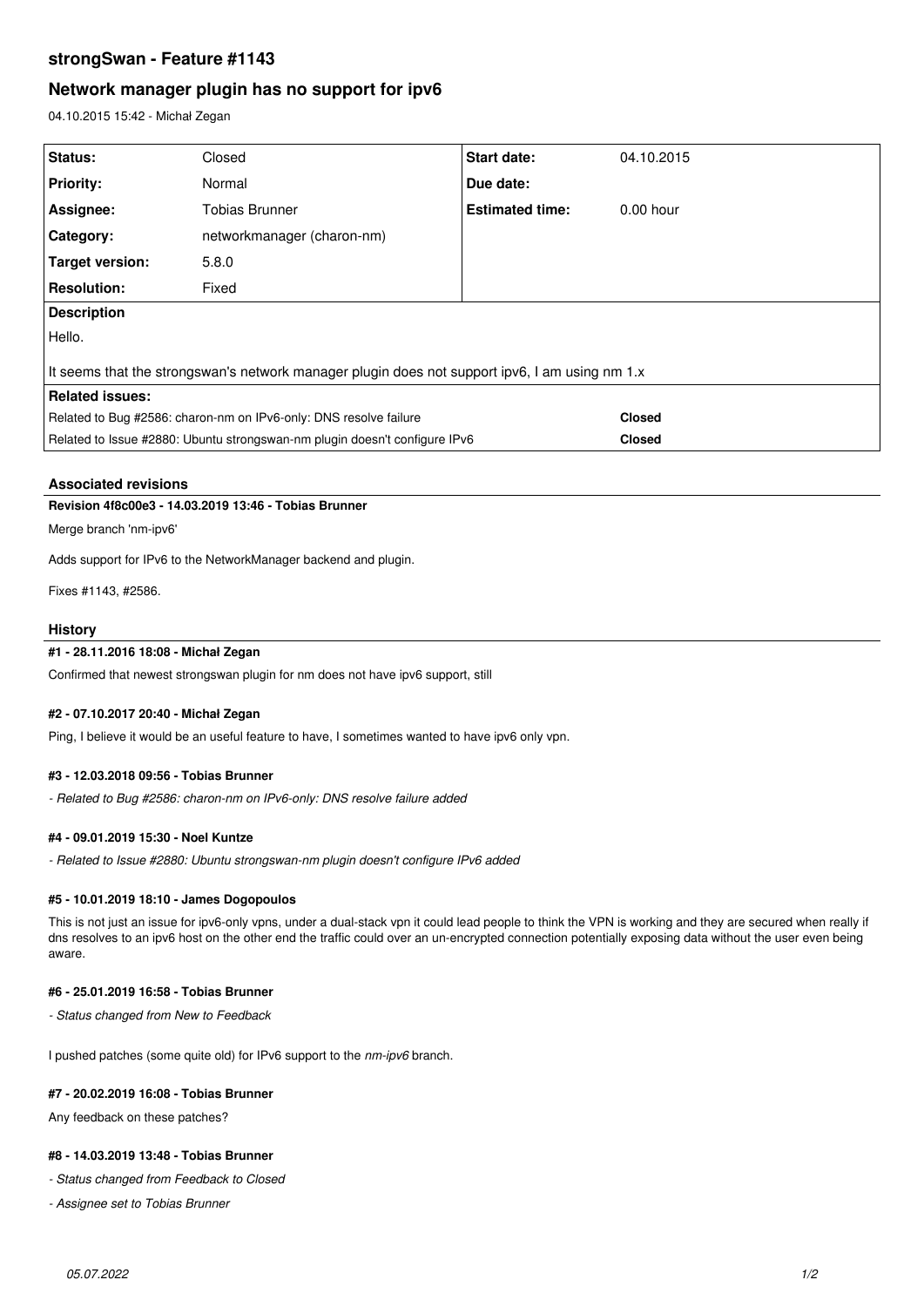# **strongSwan - Feature #1143**

# **Network manager plugin has no support for ipv6**

04.10.2015 15:42 - Michał Zegan

| Status:                                                                                        | Closed                     | Start date:            | 04.10.2015    |
|------------------------------------------------------------------------------------------------|----------------------------|------------------------|---------------|
| <b>Priority:</b>                                                                               | Normal                     | Due date:              |               |
| Assignee:                                                                                      | Tobias Brunner             | <b>Estimated time:</b> | $0.00$ hour   |
| Category:                                                                                      | networkmanager (charon-nm) |                        |               |
| <b>Target version:</b>                                                                         | 5.8.0                      |                        |               |
| <b>Resolution:</b>                                                                             | Fixed                      |                        |               |
| <b>Description</b>                                                                             |                            |                        |               |
| Hello.                                                                                         |                            |                        |               |
| It seems that the strongswan's network manager plugin does not support ipv6, I am using nm 1.x |                            |                        |               |
| <b>Related issues:</b>                                                                         |                            |                        |               |
| Related to Bug #2586: charon-nm on IPv6-only: DNS resolve failure                              |                            |                        | <b>Closed</b> |
| Related to Issue #2880: Ubuntu strongswan-nm plugin doesn't configure IPv6                     |                            |                        | <b>Closed</b> |

## **Associated revisions**

# **Revision 4f8c00e3 - 14.03.2019 13:46 - Tobias Brunner**

Merge branch 'nm-ipv6'

Adds support for IPv6 to the NetworkManager backend and plugin.

Fixes #1143, #2586.

### **History**

# **#1 - 28.11.2016 18:08 - Michał Zegan**

Confirmed that newest strongswan plugin for nm does not have ipv6 support, still

#### **#2 - 07.10.2017 20:40 - Michał Zegan**

Ping, I believe it would be an useful feature to have, I sometimes wanted to have ipv6 only vpn.

#### **#3 - 12.03.2018 09:56 - Tobias Brunner**

*- Related to Bug #2586: charon-nm on IPv6-only: DNS resolve failure added*

## **#4 - 09.01.2019 15:30 - Noel Kuntze**

*- Related to Issue #2880: Ubuntu strongswan-nm plugin doesn't configure IPv6 added*

## **#5 - 10.01.2019 18:10 - James Dogopoulos**

This is not just an issue for ipv6-only vpns, under a dual-stack vpn it could lead people to think the VPN is working and they are secured when really if dns resolves to an ipv6 host on the other end the traffic could over an un-encrypted connection potentially exposing data without the user even being aware.

## **#6 - 25.01.2019 16:58 - Tobias Brunner**

*- Status changed from New to Feedback*

I pushed patches (some quite old) for IPv6 support to the *nm-ipv6* branch.

## **#7 - 20.02.2019 16:08 - Tobias Brunner**

Any feedback on these patches?

#### **#8 - 14.03.2019 13:48 - Tobias Brunner**

*- Status changed from Feedback to Closed*

*- Assignee set to Tobias Brunner*